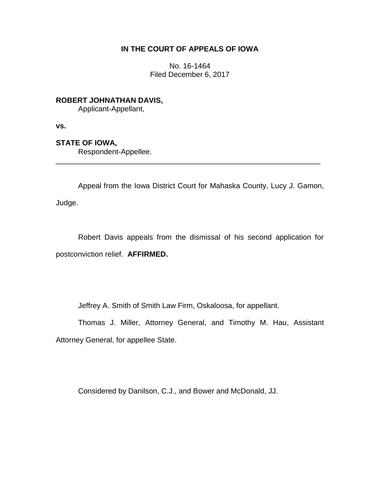## **IN THE COURT OF APPEALS OF IOWA**

No. 16-1464 Filed December 6, 2017

**ROBERT JOHNATHAN DAVIS,** Applicant-Appellant,

**vs.**

**STATE OF IOWA,**

Respondent-Appellee.

Appeal from the Iowa District Court for Mahaska County, Lucy J. Gamon,

\_\_\_\_\_\_\_\_\_\_\_\_\_\_\_\_\_\_\_\_\_\_\_\_\_\_\_\_\_\_\_\_\_\_\_\_\_\_\_\_\_\_\_\_\_\_\_\_\_\_\_\_\_\_\_\_\_\_\_\_\_\_\_\_

Judge.

Robert Davis appeals from the dismissal of his second application for postconviction relief. **AFFIRMED.**

Jeffrey A. Smith of Smith Law Firm, Oskaloosa, for appellant.

Thomas J. Miller, Attorney General, and Timothy M. Hau, Assistant Attorney General, for appellee State.

Considered by Danilson, C.J., and Bower and McDonald, JJ.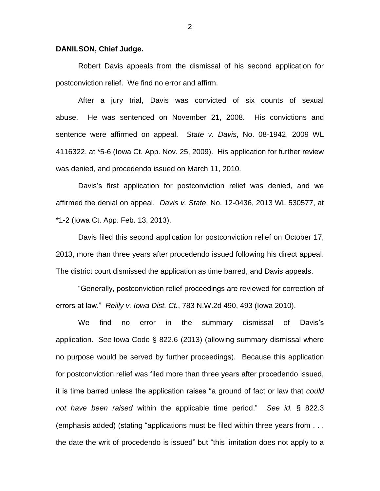## **DANILSON, Chief Judge.**

Robert Davis appeals from the dismissal of his second application for postconviction relief. We find no error and affirm.

After a jury trial, Davis was convicted of six counts of sexual abuse. He was sentenced on November 21, 2008. His convictions and sentence were affirmed on appeal. *State v. Davis*, No. 08-1942, 2009 WL 4116322, at \*5-6 (Iowa Ct. App. Nov. 25, 2009). His application for further review was denied, and procedendo issued on March 11, 2010.

Davis's first application for postconviction relief was denied, and we affirmed the denial on appeal. *Davis v. State*, No. 12-0436, 2013 WL 530577, at \*1-2 (Iowa Ct. App. Feb. 13, 2013).

Davis filed this second application for postconviction relief on October 17, 2013, more than three years after procedendo issued following his direct appeal. The district court dismissed the application as time barred, and Davis appeals.

"Generally, postconviction relief proceedings are reviewed for correction of errors at law." *Reilly v. Iowa Dist. Ct.*, 783 N.W.2d 490, 493 (Iowa 2010).

We find no error in the summary dismissal of Davis's application. *See* Iowa Code § 822.6 (2013) (allowing summary dismissal where no purpose would be served by further proceedings). Because this application for postconviction relief was filed more than three years after procedendo issued, it is time barred unless the application raises "a ground of fact or law that *could not have been raised* within the applicable time period." *See id.* § 822.3 (emphasis added) (stating "applications must be filed within three years from . . . the date the writ of procedendo is issued" but "this limitation does not apply to a